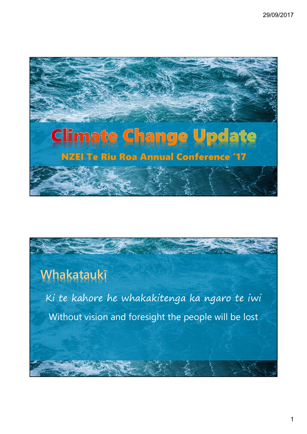

# **Whakataukī**

Ki te kahore he whakakitenga ka ngaro te iwi Without vision and foresight the people will be lost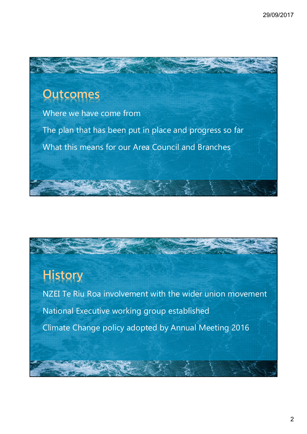

## **History**

NZEI Te Riu Roa involvement with the wider union movement National Executive working group established Climate Change policy adopted by Annual Meeting 2016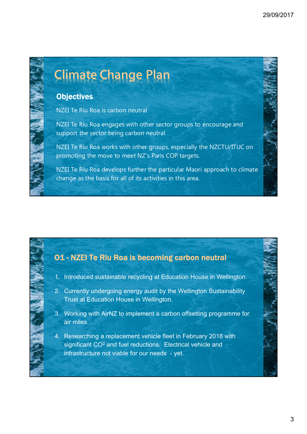# **Climate Change Plan**

### **Objectives**

NZEI Te Riu Roa is carbon neutral

NZEI Te Riu Roa engages with other sector groups to encourage and support the sector being carbon neutral

NZEI Te Riu Roa works with other groups, especially the NZCTU/ITUC on promoting the move to meet NZ's Paris COP targets.

NZEI Te Riu Roa develops further the particular Maori approach to climate change as the basis for all of its activities in this area.

### O1 - NZEI Te Riu Roa is becoming carbon neutral

- 1. Introduced sustainable recycling at Education House in Wellington.
- 2. Currently undergoing energy audit by the Wellington Sustainability Trust at Education House in Wellington.
- 3. Working with AirNZ to implement a carbon offsetting programme for air miles.
- 4. Researching a replacement vehicle fleet in February 2018 with significant CO<sup>2</sup> and fuel reductions. Electrical vehicle and infrastructure not viable for our needs - yet.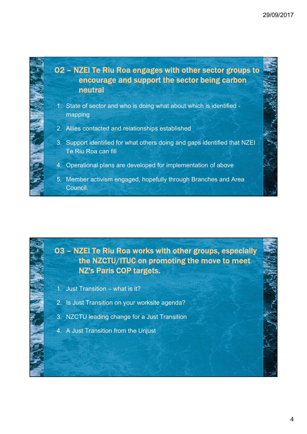

### O3 – NZEI Te Riu Roa works with other groups, especially the NZCTU/ITUC on promoting the move to meet NZ's Paris COP targets.

- 1. Just Transition what is it?
- 2. Is Just Transition on your worksite agenda?
- 3. NZCTU leading change for a Just Transition
- 4. A Just Transition from the Unjust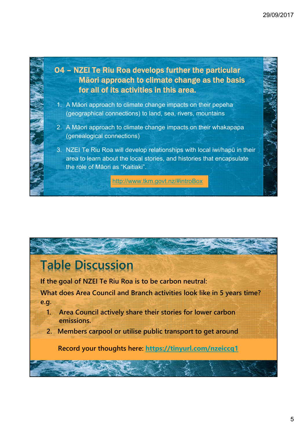